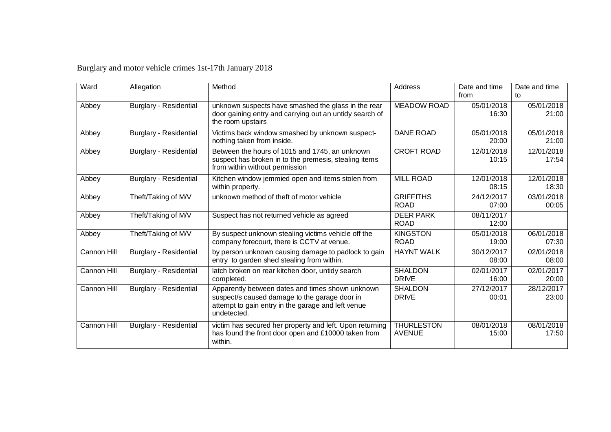## Burglary and motor vehicle crimes 1st-17th January 2018

| Ward        | Allegation                    | Method                                                                                                                                                                 | Address                            | Date and time       | Date and time       |
|-------------|-------------------------------|------------------------------------------------------------------------------------------------------------------------------------------------------------------------|------------------------------------|---------------------|---------------------|
|             |                               |                                                                                                                                                                        |                                    | from                | to                  |
| Abbey       | <b>Burglary - Residential</b> | unknown suspects have smashed the glass in the rear<br>door gaining entry and carrying out an untidy search of<br>the room upstairs                                    | <b>MEADOW ROAD</b>                 | 05/01/2018<br>16:30 | 05/01/2018<br>21:00 |
| Abbey       | <b>Burglary - Residential</b> | Victims back window smashed by unknown suspect-<br>nothing taken from inside.                                                                                          | <b>DANE ROAD</b>                   | 05/01/2018<br>20:00 | 05/01/2018<br>21:00 |
| Abbey       | <b>Burglary - Residential</b> | Between the hours of 1015 and 1745, an unknown<br>suspect has broken in to the premesis, stealing items<br>from within without permission                              | <b>CROFT ROAD</b>                  | 12/01/2018<br>10:15 | 12/01/2018<br>17:54 |
| Abbey       | <b>Burglary - Residential</b> | Kitchen window jemmied open and items stolen from<br>within property.                                                                                                  | <b>MILL ROAD</b>                   | 12/01/2018<br>08:15 | 12/01/2018<br>18:30 |
| Abbey       | Theft/Taking of M/V           | unknown method of theft of motor vehicle                                                                                                                               | <b>GRIFFITHS</b><br><b>ROAD</b>    | 24/12/2017<br>07:00 | 03/01/2018<br>00:05 |
| Abbey       | Theft/Taking of M/V           | Suspect has not returned vehicle as agreed                                                                                                                             | <b>DEER PARK</b><br><b>ROAD</b>    | 08/11/2017<br>12:00 |                     |
| Abbey       | Theft/Taking of M/V           | By suspect unknown stealing victims vehicle off the<br>company forecourt, there is CCTV at venue.                                                                      | <b>KINGSTON</b><br><b>ROAD</b>     | 05/01/2018<br>19:00 | 06/01/2018<br>07:30 |
| Cannon Hill | <b>Burglary - Residential</b> | by person unknown causing damage to padlock to gain<br>entry to garden shed stealing from within.                                                                      | <b>HAYNT WALK</b>                  | 30/12/2017<br>08:00 | 02/01/2018<br>08:00 |
| Cannon Hill | <b>Burglary - Residential</b> | latch broken on rear kitchen door, untidy search<br>completed.                                                                                                         | <b>SHALDON</b><br><b>DRIVE</b>     | 02/01/2017<br>16:00 | 02/01/2017<br>20:00 |
| Cannon Hill | <b>Burglary - Residential</b> | Apparently between dates and times shown unknown<br>suspect/s caused damage to the garage door in<br>attempt to gain entry in the garage and left venue<br>undetected. | <b>SHALDON</b><br><b>DRIVE</b>     | 27/12/2017<br>00:01 | 28/12/2017<br>23:00 |
| Cannon Hill | <b>Burglary - Residential</b> | victim has secured her property and left. Upon returning<br>has found the front door open and £10000 taken from<br>within.                                             | <b>THURLESTON</b><br><b>AVENUE</b> | 08/01/2018<br>15:00 | 08/01/2018<br>17:50 |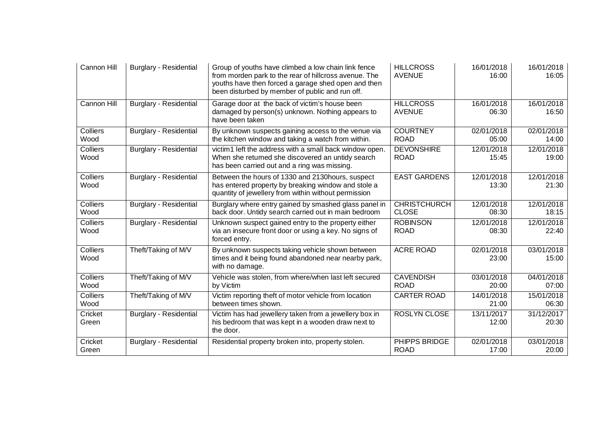| Cannon Hill             | <b>Burglary - Residential</b> | Group of youths have climbed a low chain link fence<br>from morden park to the rear of hillcross avenue. The<br>youths have then forced a garage shed open and then<br>been disturbed by member of public and run off. | <b>HILLCROSS</b><br><b>AVENUE</b>   | 16/01/2018<br>16:00 | 16/01/2018<br>16:05 |
|-------------------------|-------------------------------|------------------------------------------------------------------------------------------------------------------------------------------------------------------------------------------------------------------------|-------------------------------------|---------------------|---------------------|
| Cannon Hill             | <b>Burglary - Residential</b> | Garage door at the back of victim's house been<br>damaged by person(s) unknown. Nothing appears to<br>have been taken                                                                                                  | <b>HILLCROSS</b><br><b>AVENUE</b>   | 16/01/2018<br>06:30 | 16/01/2018<br>16:50 |
| Colliers<br>Wood        | <b>Burglary - Residential</b> | By unknown suspects gaining access to the venue via<br>the kitchen window and taking a watch from within.                                                                                                              | <b>COURTNEY</b><br><b>ROAD</b>      | 02/01/2018<br>05:00 | 02/01/2018<br>14:00 |
| Colliers<br>Wood        | <b>Burglary - Residential</b> | victim1 left the address with a small back window open.<br>When she returned she discovered an untidy search<br>has been carried out and a ring was missing.                                                           | <b>DEVONSHIRE</b><br><b>ROAD</b>    | 12/01/2018<br>15:45 | 12/01/2018<br>19:00 |
| Colliers<br>Wood        | <b>Burglary - Residential</b> | Between the hours of 1330 and 2130 hours, suspect<br>has entered property by breaking window and stole a<br>quantity of jewellery from within without permission                                                       | <b>EAST GARDENS</b>                 | 12/01/2018<br>13:30 | 12/01/2018<br>21:30 |
| Colliers<br>Wood        | <b>Burglary - Residential</b> | Burglary where entry gained by smashed glass panel in<br>back door. Untidy search carried out in main bedroom                                                                                                          | <b>CHRISTCHURCH</b><br><b>CLOSE</b> | 12/01/2018<br>08:30 | 12/01/2018<br>18:15 |
| <b>Colliers</b><br>Wood | <b>Burglary - Residential</b> | Unknown suspect gained entry to the property either<br>via an insecure front door or using a key. No signs of<br>forced entry.                                                                                         | <b>ROBINSON</b><br><b>ROAD</b>      | 12/01/2018<br>08:30 | 12/01/2018<br>22:40 |
| Colliers<br>Wood        | Theft/Taking of M/V           | By unknown suspects taking vehicle shown between<br>times and it being found abandoned near nearby park,<br>with no damage.                                                                                            | <b>ACRE ROAD</b>                    | 02/01/2018<br>23:00 | 03/01/2018<br>15:00 |
| Colliers<br>Wood        | Theft/Taking of M/V           | Vehicle was stolen, from where/when last left secured<br>by Victim                                                                                                                                                     | <b>CAVENDISH</b><br><b>ROAD</b>     | 03/01/2018<br>20:00 | 04/01/2018<br>07:00 |
| Colliers<br>Wood        | Theft/Taking of M/V           | Victim reporting theft of motor vehicle from location<br>between times shown.                                                                                                                                          | <b>CARTER ROAD</b>                  | 14/01/2018<br>21:00 | 15/01/2018<br>06:30 |
| Cricket<br>Green        | <b>Burglary - Residential</b> | Victim has had jewellery taken from a jewellery box in<br>his bedroom that was kept in a wooden draw next to<br>the door.                                                                                              | <b>ROSLYN CLOSE</b>                 | 13/11/2017<br>12:00 | 31/12/2017<br>20:30 |
| Cricket<br>Green        | <b>Burglary - Residential</b> | Residential property broken into, property stolen.                                                                                                                                                                     | PHIPPS BRIDGE<br><b>ROAD</b>        | 02/01/2018<br>17:00 | 03/01/2018<br>20:00 |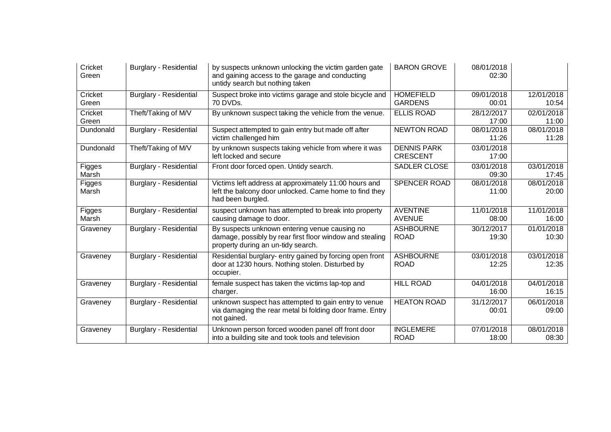| Cricket<br>Green | <b>Burglary - Residential</b> | by suspects unknown unlocking the victim garden gate<br>and gaining access to the garage and conducting<br>untidy search but nothing taken      | <b>BARON GROVE</b>                    | 08/01/2018<br>02:30 |                     |
|------------------|-------------------------------|-------------------------------------------------------------------------------------------------------------------------------------------------|---------------------------------------|---------------------|---------------------|
| Cricket<br>Green | <b>Burglary - Residential</b> | Suspect broke into victims garage and stole bicycle and<br>70 DVDs.                                                                             | <b>HOMEFIELD</b><br><b>GARDENS</b>    | 09/01/2018<br>00:01 | 12/01/2018<br>10:54 |
| Cricket<br>Green | Theft/Taking of M/V           | By unknown suspect taking the vehicle from the venue.                                                                                           | <b>ELLIS ROAD</b>                     | 28/12/2017<br>17:00 | 02/01/2018<br>11:00 |
| Dundonald        | <b>Burglary - Residential</b> | Suspect attempted to gain entry but made off after<br>victim challenged him                                                                     | <b>NEWTON ROAD</b>                    | 08/01/2018<br>11:26 | 08/01/2018<br>11:28 |
| Dundonald        | Theft/Taking of M/V           | by unknown suspects taking vehicle from where it was<br>left locked and secure                                                                  | <b>DENNIS PARK</b><br><b>CRESCENT</b> | 03/01/2018<br>17:00 |                     |
| Figges<br>Marsh  | <b>Burglary - Residential</b> | Front door forced open. Untidy search.                                                                                                          | <b>SADLER CLOSE</b>                   | 03/01/2018<br>09:30 | 03/01/2018<br>17:45 |
| Figges<br>Marsh  | <b>Burglary - Residential</b> | Victims left address at approximately 11:00 hours and<br>left the balcony door unlocked. Came home to find they<br>had been burgled.            | SPENCER ROAD                          | 08/01/2018<br>11:00 | 08/01/2018<br>20:00 |
| Figges<br>Marsh  | <b>Burglary - Residential</b> | suspect unknown has attempted to break into property<br>causing damage to door.                                                                 | <b>AVENTINE</b><br><b>AVENUE</b>      | 11/01/2018<br>08:00 | 11/01/2018<br>16:00 |
| Graveney         | <b>Burglary - Residential</b> | By suspects unknown entering venue causing no<br>damage, possibly by rear first floor window and stealing<br>property during an un-tidy search. | <b>ASHBOURNE</b><br><b>ROAD</b>       | 30/12/2017<br>19:30 | 01/01/2018<br>10:30 |
| Graveney         | <b>Burglary - Residential</b> | Residential burglary- entry gained by forcing open front<br>door at 1230 hours. Nothing stolen. Disturbed by<br>occupier.                       | <b>ASHBOURNE</b><br><b>ROAD</b>       | 03/01/2018<br>12:25 | 03/01/2018<br>12:35 |
| Graveney         | <b>Burglary - Residential</b> | female suspect has taken the victims lap-top and<br>charger.                                                                                    | <b>HILL ROAD</b>                      | 04/01/2018<br>16:00 | 04/01/2018<br>16:15 |
| Graveney         | <b>Burglary - Residential</b> | unknown suspect has attempted to gain entry to venue<br>via damaging the rear metal bi folding door frame. Entry<br>not gained.                 | <b>HEATON ROAD</b>                    | 31/12/2017<br>00:01 | 06/01/2018<br>09:00 |
| Graveney         | <b>Burglary - Residential</b> | Unknown person forced wooden panel off front door<br>into a building site and took tools and television                                         | <b>INGLEMERE</b><br><b>ROAD</b>       | 07/01/2018<br>18:00 | 08/01/2018<br>08:30 |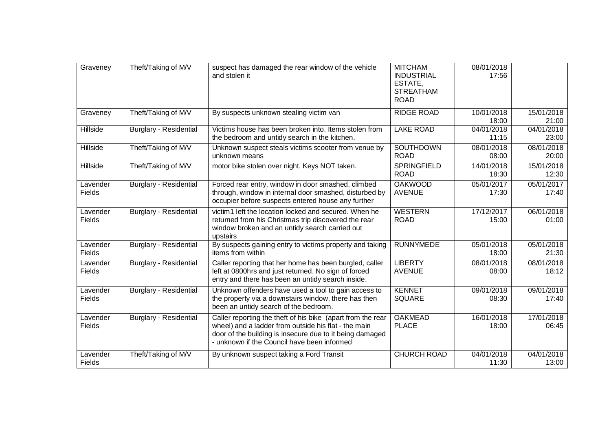| Graveney           | Theft/Taking of M/V           | suspect has damaged the rear window of the vehicle<br>and stolen it                                                                                                                                                            | <b>MITCHAM</b><br><b>INDUSTRIAL</b><br>ESTATE,<br><b>STREATHAM</b><br><b>ROAD</b> | 08/01/2018<br>17:56 |                     |
|--------------------|-------------------------------|--------------------------------------------------------------------------------------------------------------------------------------------------------------------------------------------------------------------------------|-----------------------------------------------------------------------------------|---------------------|---------------------|
| Graveney           | Theft/Taking of M/V           | By suspects unknown stealing victim van                                                                                                                                                                                        | <b>RIDGE ROAD</b>                                                                 | 10/01/2018<br>18:00 | 15/01/2018<br>21:00 |
| Hillside           | <b>Burglary - Residential</b> | Victims house has been broken into. Items stolen from<br>the bedroom and untidy search in the kitchen.                                                                                                                         | <b>LAKE ROAD</b>                                                                  | 04/01/2018<br>11:15 | 04/01/2018<br>23:00 |
| <b>Hillside</b>    | Theft/Taking of M/V           | Unknown suspect steals victims scooter from venue by<br>unknown means                                                                                                                                                          | <b>SOUTHDOWN</b><br><b>ROAD</b>                                                   | 08/01/2018<br>08:00 | 08/01/2018<br>20:00 |
| Hillside           | Theft/Taking of M/V           | motor bike stolen over night. Keys NOT taken.                                                                                                                                                                                  | <b>SPRINGFIELD</b><br><b>ROAD</b>                                                 | 14/01/2018<br>18:30 | 15/01/2018<br>12:30 |
| Lavender<br>Fields | <b>Burglary - Residential</b> | Forced rear entry, window in door smashed, climbed<br>through, window in internal door smashed, disturbed by<br>occupier before suspects entered house any further                                                             | <b>OAKWOOD</b><br><b>AVENUE</b>                                                   | 05/01/2017<br>17:30 | 05/01/2017<br>17:40 |
| Lavender<br>Fields | <b>Burglary - Residential</b> | victim1 left the location locked and secured. When he<br>returned from his Christmas trip discovered the rear<br>window broken and an untidy search carried out<br>upstairs                                                    | <b>WESTERN</b><br><b>ROAD</b>                                                     | 17/12/2017<br>15:00 | 06/01/2018<br>01:00 |
| Lavender<br>Fields | Burglary - Residential        | By suspects gaining entry to victims property and taking<br>items from within                                                                                                                                                  | <b>RUNNYMEDE</b>                                                                  | 05/01/2018<br>18:00 | 05/01/2018<br>21:30 |
| Lavender<br>Fields | <b>Burglary - Residential</b> | Caller reporting that her home has been burgled, caller<br>left at 0800hrs and just returned. No sign of forced<br>entry and there has been an untidy search inside.                                                           | <b>LIBERTY</b><br><b>AVENUE</b>                                                   | 08/01/2018<br>08:00 | 08/01/2018<br>18:12 |
| Lavender<br>Fields | <b>Burglary - Residential</b> | Unknown offenders have used a tool to gain access to<br>the property via a downstairs window, there has then<br>been an untidy search of the bedroom.                                                                          | <b>KENNET</b><br><b>SQUARE</b>                                                    | 09/01/2018<br>08:30 | 09/01/2018<br>17:40 |
| Lavender<br>Fields | <b>Burglary - Residential</b> | Caller reporting the theft of his bike (apart from the rear<br>wheel) and a ladder from outside his flat - the main<br>door of the building is insecure due to it being damaged<br>- unknown if the Council have been informed | <b>OAKMEAD</b><br><b>PLACE</b>                                                    | 16/01/2018<br>18:00 | 17/01/2018<br>06:45 |
| Lavender<br>Fields | Theft/Taking of M/V           | By unknown suspect taking a Ford Transit                                                                                                                                                                                       | <b>CHURCH ROAD</b>                                                                | 04/01/2018<br>11:30 | 04/01/2018<br>13:00 |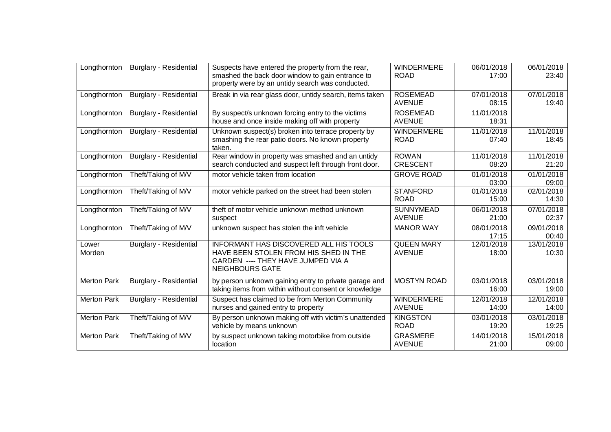| Longthornton       | <b>Burglary - Residential</b> | Suspects have entered the property from the rear,<br>smashed the back door window to gain entrance to<br>property were by an untidy search was conducted. | <b>WINDERMERE</b><br><b>ROAD</b>   | 06/01/2018<br>17:00 | 06/01/2018<br>23:40 |
|--------------------|-------------------------------|-----------------------------------------------------------------------------------------------------------------------------------------------------------|------------------------------------|---------------------|---------------------|
| Longthornton       | <b>Burglary - Residential</b> | Break in via rear glass door, untidy search, items taken                                                                                                  | <b>ROSEMEAD</b><br><b>AVENUE</b>   | 07/01/2018<br>08:15 | 07/01/2018<br>19:40 |
| Longthornton       | <b>Burglary - Residential</b> | By suspect/s unknown forcing entry to the victims<br>house and once inside making off with property                                                       | <b>ROSEMEAD</b><br><b>AVENUE</b>   | 11/01/2018<br>18:31 |                     |
| Longthornton       | <b>Burglary - Residential</b> | Unknown suspect(s) broken into terrace property by<br>smashing the rear patio doors. No known property<br>taken.                                          | <b>WINDERMERE</b><br><b>ROAD</b>   | 11/01/2018<br>07:40 | 11/01/2018<br>18:45 |
| Longthornton       | <b>Burglary - Residential</b> | Rear window in property was smashed and an untidy<br>search conducted and suspect left through front door.                                                | <b>ROWAN</b><br><b>CRESCENT</b>    | 11/01/2018<br>08:20 | 11/01/2018<br>21:20 |
| Longthornton       | Theft/Taking of M/V           | motor vehicle taken from location                                                                                                                         | <b>GROVE ROAD</b>                  | 01/01/2018<br>03:00 | 01/01/2018<br>09:00 |
| Longthornton       | Theft/Taking of M/V           | motor vehicle parked on the street had been stolen                                                                                                        | <b>STANFORD</b><br><b>ROAD</b>     | 01/01/2018<br>15:00 | 02/01/2018<br>14:30 |
| Longthornton       | Theft/Taking of M/V           | theft of motor vehicle unknown method unknown<br>suspect                                                                                                  | <b>SUNNYMEAD</b><br><b>AVENUE</b>  | 06/01/2018<br>21:00 | 07/01/2018<br>02:37 |
| Longthornton       | Theft/Taking of M/V           | unknown suspect has stolen the inft vehicle                                                                                                               | <b>MANOR WAY</b>                   | 08/01/2018<br>17:15 | 09/01/2018<br>00:40 |
| Lower<br>Morden    | <b>Burglary - Residential</b> | <b>INFORMANT HAS DISCOVERED ALL HIS TOOLS</b><br>HAVE BEEN STOLEN FROM HIS SHED IN THE<br>GARDEN ---- THEY HAVE JUMPED VIA A<br><b>NEIGHBOURS GATE</b>    | <b>QUEEN MARY</b><br><b>AVENUE</b> | 12/01/2018<br>18:00 | 13/01/2018<br>10:30 |
| <b>Merton Park</b> | <b>Burglary - Residential</b> | by person unknown gaining entry to private garage and<br>taking items from within without consent or knowledge                                            | <b>MOSTYN ROAD</b>                 | 03/01/2018<br>16:00 | 03/01/2018<br>19:00 |
| <b>Merton Park</b> | <b>Burglary - Residential</b> | Suspect has claimed to be from Merton Community<br>nurses and gained entry to property                                                                    | WINDERMERE<br><b>AVENUE</b>        | 12/01/2018<br>14:00 | 12/01/2018<br>14:00 |
| <b>Merton Park</b> | Theft/Taking of M/V           | By person unknown making off with victim's unattended<br>vehicle by means unknown                                                                         | <b>KINGSTON</b><br><b>ROAD</b>     | 03/01/2018<br>19:20 | 03/01/2018<br>19:25 |
| <b>Merton Park</b> | Theft/Taking of M/V           | by suspect unknown taking motorbike from outside<br>location                                                                                              | <b>GRASMERE</b><br><b>AVENUE</b>   | 14/01/2018<br>21:00 | 15/01/2018<br>09:00 |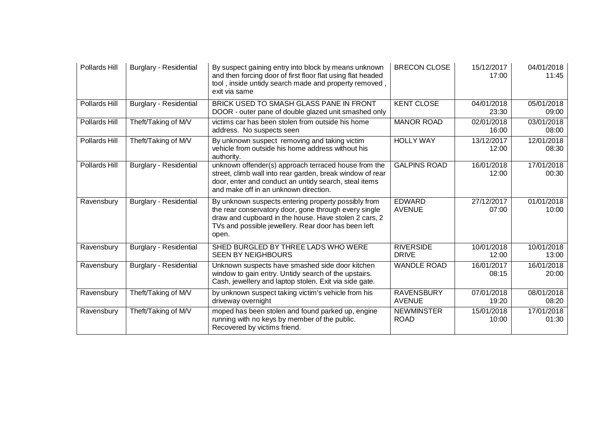| Pollards Hill | <b>Burglary - Residential</b> | By suspect gaining entry into block by means unknown<br>and then forcing door of first floor flat using flat headed<br>tool, inside untidy search made and property removed,<br>exit via same                                         | <b>BRECON CLOSE</b>                | 15/12/2017<br>17:00 | 04/01/2018<br>11:45 |
|---------------|-------------------------------|---------------------------------------------------------------------------------------------------------------------------------------------------------------------------------------------------------------------------------------|------------------------------------|---------------------|---------------------|
| Pollards Hill | <b>Burglary - Residential</b> | BRICK USED TO SMASH GLASS PANE IN FRONT<br>DOOR - outer pane of double glazed unit smashed only                                                                                                                                       | <b>KENT CLOSE</b>                  | 04/01/2018<br>23:30 | 05/01/2018<br>09:00 |
| Pollards Hill | Theft/Taking of M/V           | victims car has been stolen from outside his home<br>address. No suspects seen                                                                                                                                                        | <b>MANOR ROAD</b>                  | 02/01/2018<br>16:00 | 03/01/2018<br>08:00 |
| Pollards Hill | Theft/Taking of M/V           | By unknown suspect removing and taking victim<br>vehicle from outside his home address without his<br>authority.                                                                                                                      | <b>HOLLY WAY</b>                   | 13/12/2017<br>12:00 | 12/01/2018<br>08:30 |
| Pollards Hill | <b>Burglary - Residential</b> | unknown offender(s) approach terraced house from the<br>street, climb wall into rear garden, break window of rear<br>door, enter and conduct an untidy search, steal items<br>and make off in an unknown direction.                   | <b>GALPINS ROAD</b>                | 16/01/2018<br>12:00 | 17/01/2018<br>00:30 |
| Ravensbury    | <b>Burglary - Residential</b> | By unknown suspects entering property possibly from<br>the rear conservatory door, gone through every single<br>draw and cupboard in the house. Have stolen 2 cars, 2<br>TVs and possible jewellery. Rear door has been left<br>open. | <b>EDWARD</b><br><b>AVENUE</b>     | 27/12/2017<br>07:00 | 01/01/2018<br>10:00 |
| Ravensbury    | <b>Burglary - Residential</b> | SHED BURGLED BY THREE LADS WHO WERE<br><b>SEEN BY NEIGHBOURS</b>                                                                                                                                                                      | <b>RIVERSIDE</b><br><b>DRIVE</b>   | 10/01/2018<br>12:00 | 10/01/2018<br>13:00 |
| Ravensbury    | <b>Burglary - Residential</b> | Unknown suspects have smashed side door kitchen<br>window to gain entry. Untidy search of the upstairs.<br>Cash, jewellery and laptop stolen. Exit via side gate.                                                                     | <b>WANDLE ROAD</b>                 | 16/01/2017<br>08:15 | 16/01/2018<br>20:00 |
| Ravensbury    | Theft/Taking of M/V           | by unknown suspect taking victim's vehicle from his<br>driveway overnight                                                                                                                                                             | <b>RAVENSBURY</b><br><b>AVENUE</b> | 07/01/2018<br>19:20 | 08/01/2018<br>08:20 |
| Ravensbury    | Theft/Taking of M/V           | moped has been stolen and found parked up, engine<br>running with no keys by member of the public.<br>Recovered by victims friend.                                                                                                    | <b>NEWMINSTER</b><br><b>ROAD</b>   | 15/01/2018<br>10:00 | 17/01/2018<br>01:30 |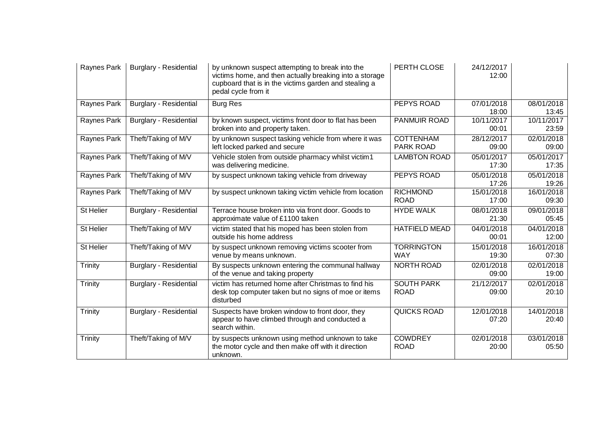| Raynes Park | <b>Burglary - Residential</b> | by unknown suspect attempting to break into the<br>victims home, and then actually breaking into a storage<br>cupboard that is in the victims garden and stealing a<br>pedal cycle from it | PERTH CLOSE                      | 24/12/2017<br>12:00              |                     |
|-------------|-------------------------------|--------------------------------------------------------------------------------------------------------------------------------------------------------------------------------------------|----------------------------------|----------------------------------|---------------------|
| Raynes Park | <b>Burglary - Residential</b> | <b>Burg Res</b>                                                                                                                                                                            | <b>PEPYS ROAD</b>                | 07/01/2018<br>18:00              | 08/01/2018<br>13:45 |
| Raynes Park | <b>Burglary - Residential</b> | by known suspect, victims front door to flat has been<br>broken into and property taken.                                                                                                   | <b>PANMUIR ROAD</b>              | 10/11/2017<br>00:01              | 10/11/2017<br>23:59 |
| Raynes Park | Theft/Taking of M/V           | by unknown suspect tasking vehicle from where it was<br>left locked parked and secure                                                                                                      | <b>COTTENHAM</b><br>PARK ROAD    | 28/12/2017<br>09:00              | 02/01/2018<br>09:00 |
| Raynes Park | Theft/Taking of M/V           | Vehicle stolen from outside pharmacy whilst victim1<br>was delivering medicine.                                                                                                            | <b>LAMBTON ROAD</b>              | 05/01/2017<br>17:30              | 05/01/2017<br>17:35 |
| Raynes Park | Theft/Taking of M/V           | by suspect unknown taking vehicle from driveway                                                                                                                                            | PEPYS ROAD                       | $\overline{05}/01/2018$<br>17:26 | 05/01/2018<br>19:26 |
| Raynes Park | Theft/Taking of M/V           | by suspect unknown taking victim vehicle from location                                                                                                                                     | <b>RICHMOND</b><br><b>ROAD</b>   | 15/01/2018<br>17:00              | 16/01/2018<br>09:30 |
| St Helier   | <b>Burglary - Residential</b> | Terrace house broken into via front door. Goods to<br>approximate value of £1100 taken                                                                                                     | <b>HYDE WALK</b>                 | 08/01/2018<br>21:30              | 09/01/2018<br>05:45 |
| St Helier   | Theft/Taking of M/V           | victim stated that his moped has been stolen from<br>outside his home address                                                                                                              | <b>HATFIELD MEAD</b>             | 04/01/2018<br>00:01              | 04/01/2018<br>12:00 |
| St Helier   | Theft/Taking of M/V           | by suspect unknown removing victims scooter from<br>venue by means unknown.                                                                                                                | <b>TORRINGTON</b><br><b>WAY</b>  | 15/01/2018<br>19:30              | 16/01/2018<br>07:30 |
| Trinity     | <b>Burglary - Residential</b> | By suspects unknown entering the communal hallway<br>of the venue and taking property                                                                                                      | <b>NORTH ROAD</b>                | 02/01/2018<br>09:00              | 02/01/2018<br>19:00 |
| Trinity     | <b>Burglary - Residential</b> | victim has returned home after Christmas to find his<br>desk top computer taken but no signs of moe or items<br>disturbed                                                                  | <b>SOUTH PARK</b><br><b>ROAD</b> | 21/12/2017<br>09:00              | 02/01/2018<br>20:10 |
| Trinity     | <b>Burglary - Residential</b> | Suspects have broken window to front door, they<br>appear to have climbed through and conducted a<br>search within.                                                                        | <b>QUICKS ROAD</b>               | 12/01/2018<br>07:20              | 14/01/2018<br>20:40 |
| Trinity     | Theft/Taking of M/V           | by suspects unknown using method unknown to take<br>the motor cycle and then make off with it direction<br>unknown.                                                                        | <b>COWDREY</b><br><b>ROAD</b>    | 02/01/2018<br>20:00              | 03/01/2018<br>05:50 |